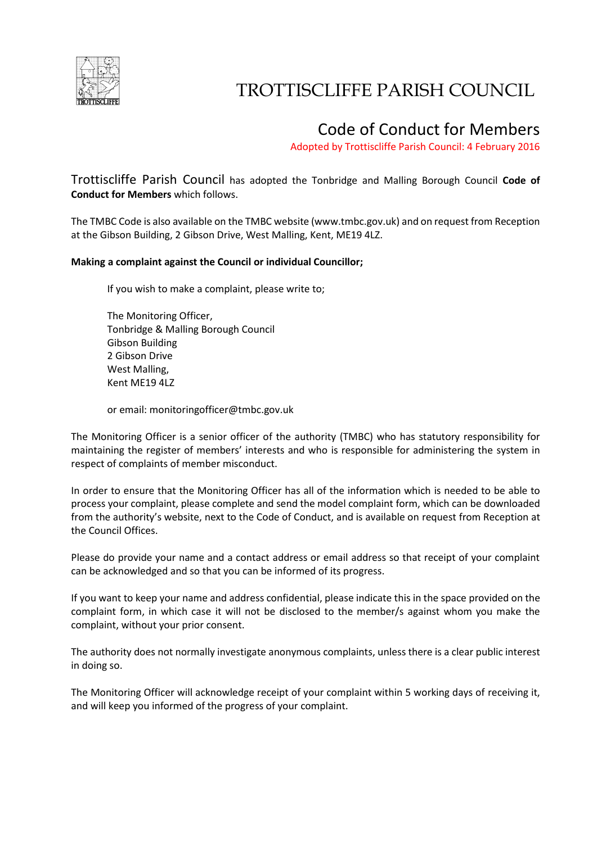

# TROTTISCLIFFE PARISH COUNCIL

## Code of Conduct for Members

Adopted by Trottiscliffe Parish Council: 4 February 2016

Trottiscliffe Parish Council has adopted the Tonbridge and Malling Borough Council **Code of Conduct for Members** which follows.

The TMBC Code is also available on the TMBC website (www.tmbc.gov.uk) and on request from Reception at the Gibson Building, 2 Gibson Drive, West Malling, Kent, ME19 4LZ.

#### **Making a complaint against the Council or individual Councillor;**

If you wish to make a complaint, please write to;

The Monitoring Officer, Tonbridge & Malling Borough Council Gibson Building 2 Gibson Drive West Malling, Kent ME19 4LZ

or email: monitoringofficer@tmbc.gov.uk

The Monitoring Officer is a senior officer of the authority (TMBC) who has statutory responsibility for maintaining the register of members' interests and who is responsible for administering the system in respect of complaints of member misconduct.

In order to ensure that the Monitoring Officer has all of the information which is needed to be able to process your complaint, please complete and send the model complaint form, which can be downloaded from the authority's website, next to the Code of Conduct, and is available on request from Reception at the Council Offices.

Please do provide your name and a contact address or email address so that receipt of your complaint can be acknowledged and so that you can be informed of its progress.

If you want to keep your name and address confidential, please indicate this in the space provided on the complaint form, in which case it will not be disclosed to the member/s against whom you make the complaint, without your prior consent.

The authority does not normally investigate anonymous complaints, unless there is a clear public interest in doing so.

The Monitoring Officer will acknowledge receipt of your complaint within 5 working days of receiving it, and will keep you informed of the progress of your complaint.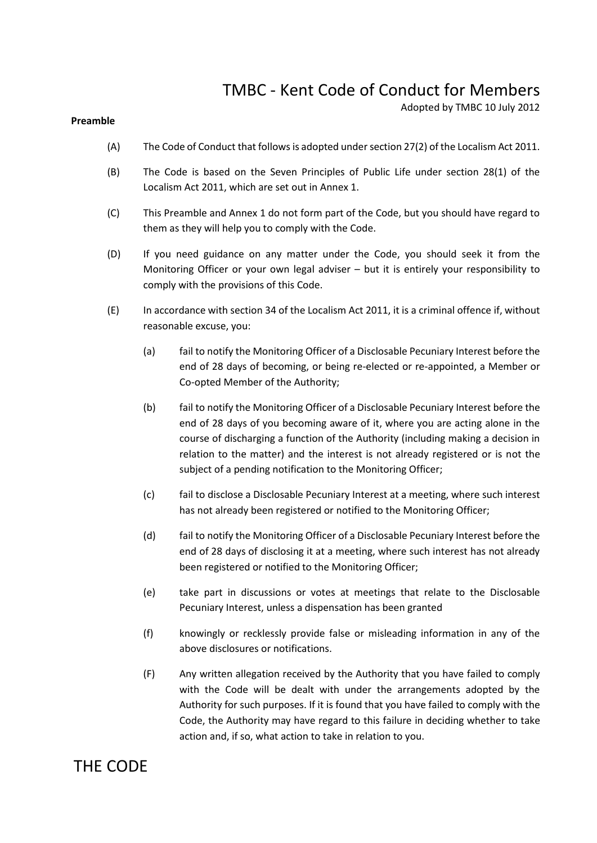## TMBC - Kent Code of Conduct for Members

Adopted by TMBC 10 July 2012

#### **Preamble**

- (A) The Code of Conduct that follows is adopted under section 27(2) of the Localism Act 2011.
- (B) The Code is based on the Seven Principles of Public Life under section 28(1) of the Localism Act 2011, which are set out in Annex 1.
- (C) This Preamble and Annex 1 do not form part of the Code, but you should have regard to them as they will help you to comply with the Code.
- (D) If you need guidance on any matter under the Code, you should seek it from the Monitoring Officer or your own legal adviser – but it is entirely your responsibility to comply with the provisions of this Code.
- (E) In accordance with section 34 of the Localism Act 2011, it is a criminal offence if, without reasonable excuse, you:
	- (a) fail to notify the Monitoring Officer of a Disclosable Pecuniary Interest before the end of 28 days of becoming, or being re-elected or re-appointed, a Member or Co-opted Member of the Authority;
	- (b) fail to notify the Monitoring Officer of a Disclosable Pecuniary Interest before the end of 28 days of you becoming aware of it, where you are acting alone in the course of discharging a function of the Authority (including making a decision in relation to the matter) and the interest is not already registered or is not the subject of a pending notification to the Monitoring Officer;
	- (c) fail to disclose a Disclosable Pecuniary Interest at a meeting, where such interest has not already been registered or notified to the Monitoring Officer;
	- (d) fail to notify the Monitoring Officer of a Disclosable Pecuniary Interest before the end of 28 days of disclosing it at a meeting, where such interest has not already been registered or notified to the Monitoring Officer;
	- (e) take part in discussions or votes at meetings that relate to the Disclosable Pecuniary Interest, unless a dispensation has been granted
	- (f) knowingly or recklessly provide false or misleading information in any of the above disclosures or notifications.
	- (F) Any written allegation received by the Authority that you have failed to comply with the Code will be dealt with under the arrangements adopted by the Authority for such purposes. If it is found that you have failed to comply with the Code, the Authority may have regard to this failure in deciding whether to take action and, if so, what action to take in relation to you.

### THE CODE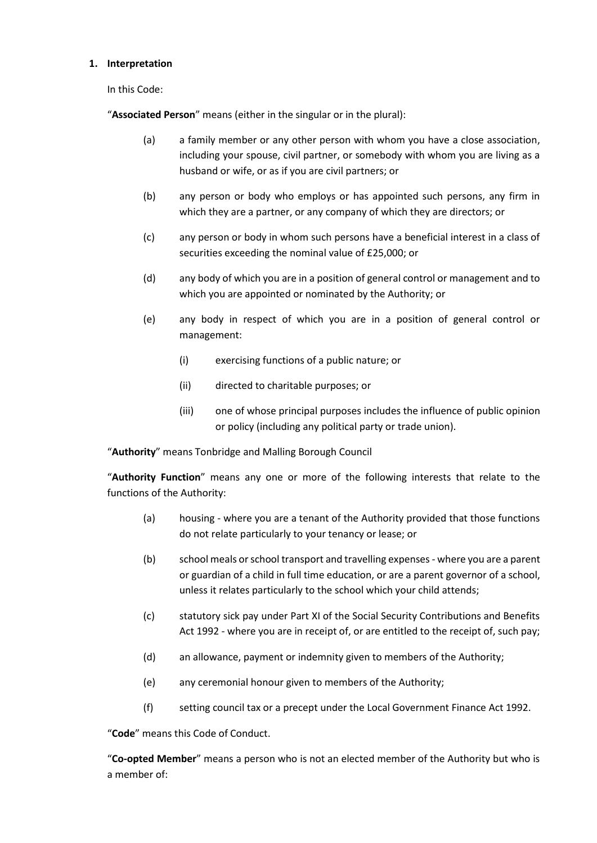#### **1. Interpretation**

In this Code:

"**Associated Person**" means (either in the singular or in the plural):

- (a) a family member or any other person with whom you have a close association, including your spouse, civil partner, or somebody with whom you are living as a husband or wife, or as if you are civil partners; or
- (b) any person or body who employs or has appointed such persons, any firm in which they are a partner, or any company of which they are directors; or
- (c) any person or body in whom such persons have a beneficial interest in a class of securities exceeding the nominal value of £25,000; or
- (d) any body of which you are in a position of general control or management and to which you are appointed or nominated by the Authority; or
- (e) any body in respect of which you are in a position of general control or management:
	- (i) exercising functions of a public nature; or
	- (ii) directed to charitable purposes; or
	- (iii) one of whose principal purposes includes the influence of public opinion or policy (including any political party or trade union).

"**Authority**" means Tonbridge and Malling Borough Council

"**Authority Function**" means any one or more of the following interests that relate to the functions of the Authority:

- (a) housing where you are a tenant of the Authority provided that those functions do not relate particularly to your tenancy or lease; or
- (b) school meals or school transport and travelling expenses where you are a parent or guardian of a child in full time education, or are a parent governor of a school, unless it relates particularly to the school which your child attends;
- (c) statutory sick pay under Part XI of the Social Security Contributions and Benefits Act 1992 - where you are in receipt of, or are entitled to the receipt of, such pay;
- (d) an allowance, payment or indemnity given to members of the Authority;
- (e) any ceremonial honour given to members of the Authority;
- (f) setting council tax or a precept under the Local Government Finance Act 1992.

"**Code**" means this Code of Conduct.

"**Co-opted Member**" means a person who is not an elected member of the Authority but who is a member of: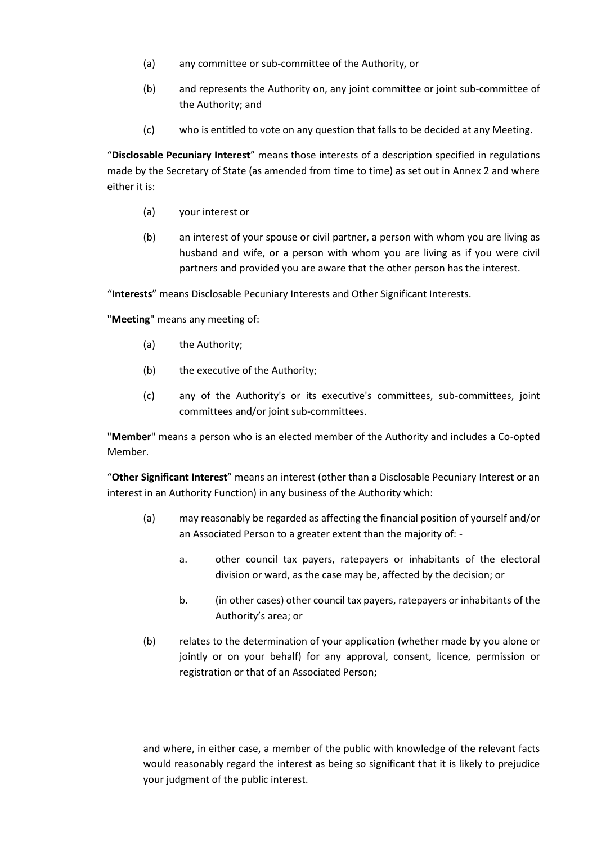- (a) any committee or sub-committee of the Authority, or
- (b) and represents the Authority on, any joint committee or joint sub-committee of the Authority; and
- (c) who is entitled to vote on any question that falls to be decided at any Meeting.

"**Disclosable Pecuniary Interest**" means those interests of a description specified in regulations made by the Secretary of State (as amended from time to time) as set out in Annex 2 and where either it is:

- (a) your interest or
- (b) an interest of your spouse or civil partner, a person with whom you are living as husband and wife, or a person with whom you are living as if you were civil partners and provided you are aware that the other person has the interest.

"**Interests**" means Disclosable Pecuniary Interests and Other Significant Interests.

"**Meeting**" means any meeting of:

- (a) the Authority;
- (b) the executive of the Authority;
- (c) any of the Authority's or its executive's committees, sub-committees, joint committees and/or joint sub-committees.

"**Member**" means a person who is an elected member of the Authority and includes a Co-opted Member.

"**Other Significant Interest**" means an interest (other than a Disclosable Pecuniary Interest or an interest in an Authority Function) in any business of the Authority which:

- (a) may reasonably be regarded as affecting the financial position of yourself and/or an Associated Person to a greater extent than the majority of:
	- a. other council tax payers, ratepayers or inhabitants of the electoral division or ward, as the case may be, affected by the decision; or
	- b. (in other cases) other council tax payers, ratepayers or inhabitants of the Authority's area; or
- (b) relates to the determination of your application (whether made by you alone or jointly or on your behalf) for any approval, consent, licence, permission or registration or that of an Associated Person;

and where, in either case, a member of the public with knowledge of the relevant facts would reasonably regard the interest as being so significant that it is likely to prejudice your judgment of the public interest.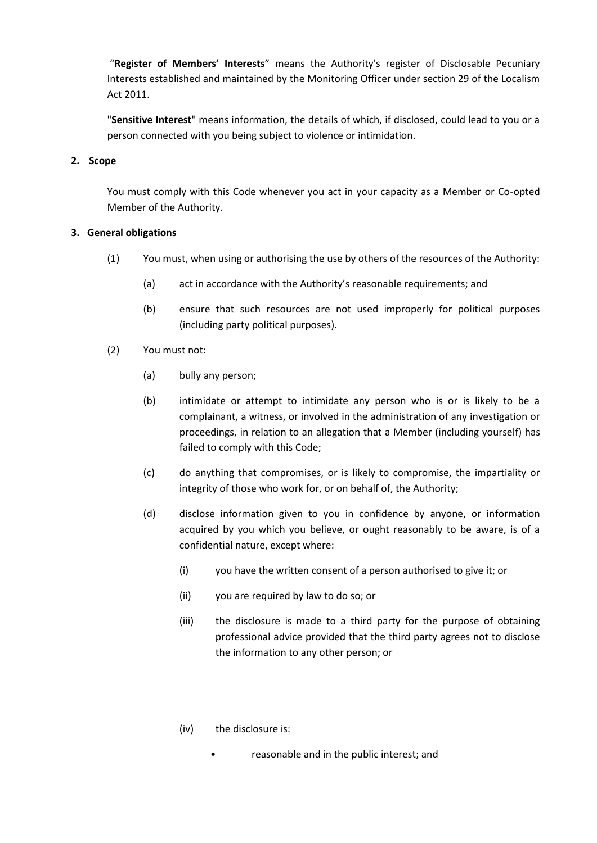"**Register of Members' Interests**" means the Authority's register of Disclosable Pecuniary Interests established and maintained by the Monitoring Officer under section 29 of the Localism Act 2011.

"**Sensitive Interest**" means information, the details of which, if disclosed, could lead to you or a person connected with you being subject to violence or intimidation.

#### **2. Scope**

You must comply with this Code whenever you act in your capacity as a Member or Co-opted Member of the Authority.

#### **3. General obligations**

- (1) You must, when using or authorising the use by others of the resources of the Authority:
	- (a) act in accordance with the Authority's reasonable requirements; and
	- (b) ensure that such resources are not used improperly for political purposes (including party political purposes).
- (2) You must not:
	- (a) bully any person;
	- (b) intimidate or attempt to intimidate any person who is or is likely to be a complainant, a witness, or involved in the administration of any investigation or proceedings, in relation to an allegation that a Member (including yourself) has failed to comply with this Code;
	- (c) do anything that compromises, or is likely to compromise, the impartiality or integrity of those who work for, or on behalf of, the Authority;
	- (d) disclose information given to you in confidence by anyone, or information acquired by you which you believe, or ought reasonably to be aware, is of a confidential nature, except where:
		- (i) you have the written consent of a person authorised to give it; or
		- (ii) you are required by law to do so; or
		- (iii) the disclosure is made to a third party for the purpose of obtaining professional advice provided that the third party agrees not to disclose the information to any other person; or
		- (iv) the disclosure is:
			- reasonable and in the public interest; and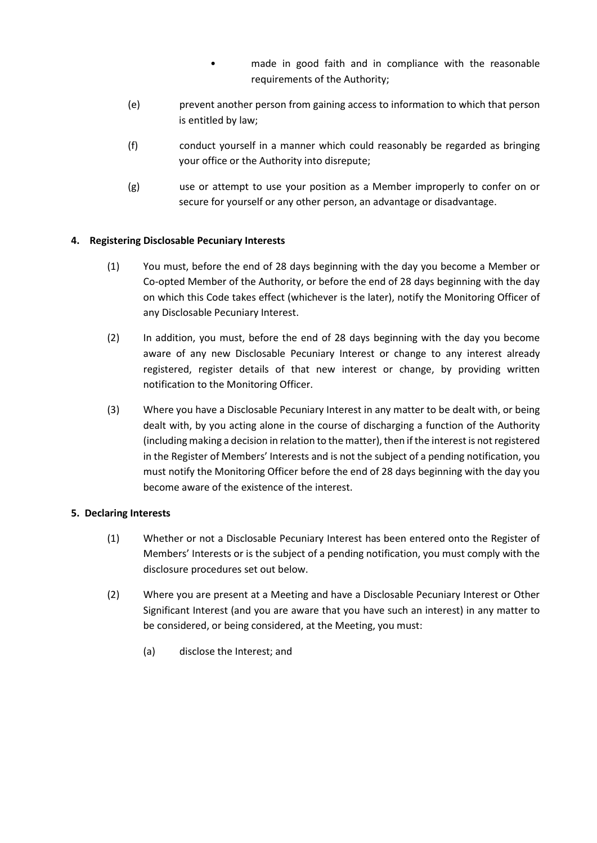- made in good faith and in compliance with the reasonable requirements of the Authority;
- (e) prevent another person from gaining access to information to which that person is entitled by law;
- (f) conduct yourself in a manner which could reasonably be regarded as bringing your office or the Authority into disrepute;
- (g) use or attempt to use your position as a Member improperly to confer on or secure for yourself or any other person, an advantage or disadvantage.

#### **4. Registering Disclosable Pecuniary Interests**

- (1) You must, before the end of 28 days beginning with the day you become a Member or Co-opted Member of the Authority, or before the end of 28 days beginning with the day on which this Code takes effect (whichever is the later), notify the Monitoring Officer of any Disclosable Pecuniary Interest.
- (2) In addition, you must, before the end of 28 days beginning with the day you become aware of any new Disclosable Pecuniary Interest or change to any interest already registered, register details of that new interest or change, by providing written notification to the Monitoring Officer.
- (3) Where you have a Disclosable Pecuniary Interest in any matter to be dealt with, or being dealt with, by you acting alone in the course of discharging a function of the Authority (including making a decision in relation to the matter), then if the interest is not registered in the Register of Members' Interests and is not the subject of a pending notification, you must notify the Monitoring Officer before the end of 28 days beginning with the day you become aware of the existence of the interest.

#### **5. Declaring Interests**

- (1) Whether or not a Disclosable Pecuniary Interest has been entered onto the Register of Members' Interests or is the subject of a pending notification, you must comply with the disclosure procedures set out below.
- (2) Where you are present at a Meeting and have a Disclosable Pecuniary Interest or Other Significant Interest (and you are aware that you have such an interest) in any matter to be considered, or being considered, at the Meeting, you must:
	- (a) disclose the Interest; and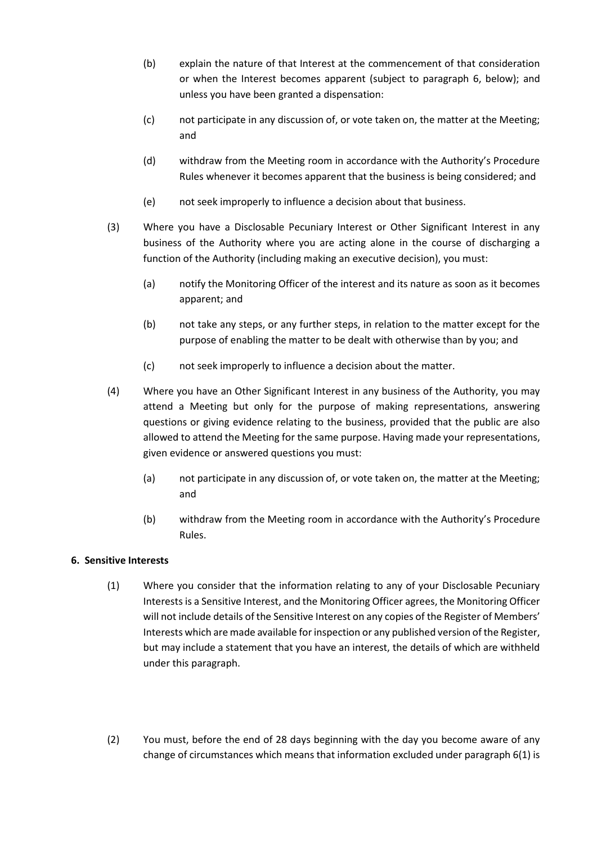- (b) explain the nature of that Interest at the commencement of that consideration or when the Interest becomes apparent (subject to paragraph 6, below); and unless you have been granted a dispensation:
- (c) not participate in any discussion of, or vote taken on, the matter at the Meeting; and
- (d) withdraw from the Meeting room in accordance with the Authority's Procedure Rules whenever it becomes apparent that the business is being considered; and
- (e) not seek improperly to influence a decision about that business.
- (3) Where you have a Disclosable Pecuniary Interest or Other Significant Interest in any business of the Authority where you are acting alone in the course of discharging a function of the Authority (including making an executive decision), you must:
	- (a) notify the Monitoring Officer of the interest and its nature as soon as it becomes apparent; and
	- (b) not take any steps, or any further steps, in relation to the matter except for the purpose of enabling the matter to be dealt with otherwise than by you; and
	- (c) not seek improperly to influence a decision about the matter.
- (4) Where you have an Other Significant Interest in any business of the Authority, you may attend a Meeting but only for the purpose of making representations, answering questions or giving evidence relating to the business, provided that the public are also allowed to attend the Meeting for the same purpose. Having made your representations, given evidence or answered questions you must:
	- (a) not participate in any discussion of, or vote taken on, the matter at the Meeting; and
	- (b) withdraw from the Meeting room in accordance with the Authority's Procedure Rules.

#### **6. Sensitive Interests**

- (1) Where you consider that the information relating to any of your Disclosable Pecuniary Interests is a Sensitive Interest, and the Monitoring Officer agrees, the Monitoring Officer will not include details of the Sensitive Interest on any copies of the Register of Members' Interests which are made available for inspection or any published version of the Register, but may include a statement that you have an interest, the details of which are withheld under this paragraph.
- (2) You must, before the end of 28 days beginning with the day you become aware of any change of circumstances which means that information excluded under paragraph 6(1) is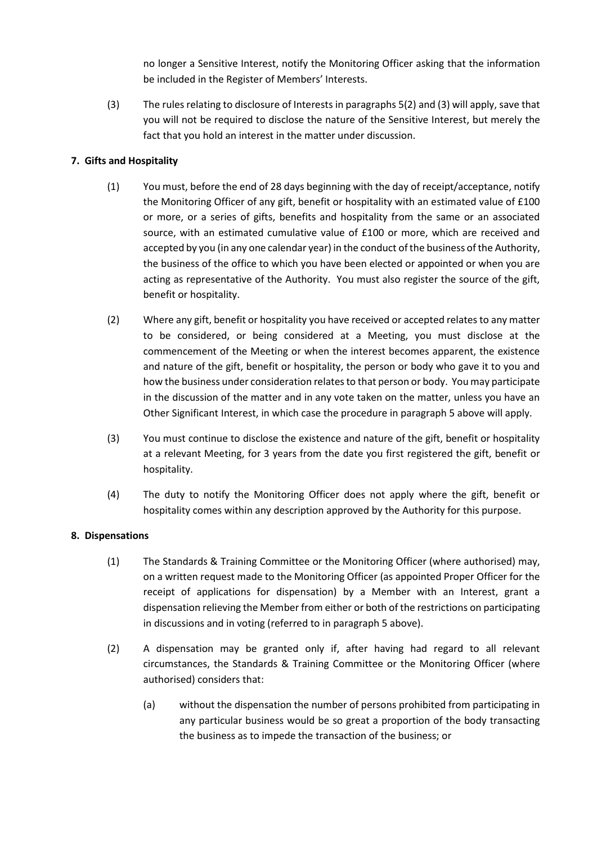no longer a Sensitive Interest, notify the Monitoring Officer asking that the information be included in the Register of Members' Interests.

(3) The rules relating to disclosure of Interests in paragraphs 5(2) and (3) will apply, save that you will not be required to disclose the nature of the Sensitive Interest, but merely the fact that you hold an interest in the matter under discussion.

#### **7. Gifts and Hospitality**

- (1) You must, before the end of 28 days beginning with the day of receipt/acceptance, notify the Monitoring Officer of any gift, benefit or hospitality with an estimated value of £100 or more, or a series of gifts, benefits and hospitality from the same or an associated source, with an estimated cumulative value of £100 or more, which are received and accepted by you (in any one calendar year) in the conduct of the business of the Authority, the business of the office to which you have been elected or appointed or when you are acting as representative of the Authority. You must also register the source of the gift, benefit or hospitality.
- (2) Where any gift, benefit or hospitality you have received or accepted relates to any matter to be considered, or being considered at a Meeting, you must disclose at the commencement of the Meeting or when the interest becomes apparent, the existence and nature of the gift, benefit or hospitality, the person or body who gave it to you and how the business under consideration relates to that person or body. You may participate in the discussion of the matter and in any vote taken on the matter, unless you have an Other Significant Interest, in which case the procedure in paragraph 5 above will apply.
- (3) You must continue to disclose the existence and nature of the gift, benefit or hospitality at a relevant Meeting, for 3 years from the date you first registered the gift, benefit or hospitality.
- (4) The duty to notify the Monitoring Officer does not apply where the gift, benefit or hospitality comes within any description approved by the Authority for this purpose.

#### **8. Dispensations**

- (1) The Standards & Training Committee or the Monitoring Officer (where authorised) may, on a written request made to the Monitoring Officer (as appointed Proper Officer for the receipt of applications for dispensation) by a Member with an Interest, grant a dispensation relieving the Member from either or both of the restrictions on participating in discussions and in voting (referred to in paragraph 5 above).
- (2) A dispensation may be granted only if, after having had regard to all relevant circumstances, the Standards & Training Committee or the Monitoring Officer (where authorised) considers that:
	- (a) without the dispensation the number of persons prohibited from participating in any particular business would be so great a proportion of the body transacting the business as to impede the transaction of the business; or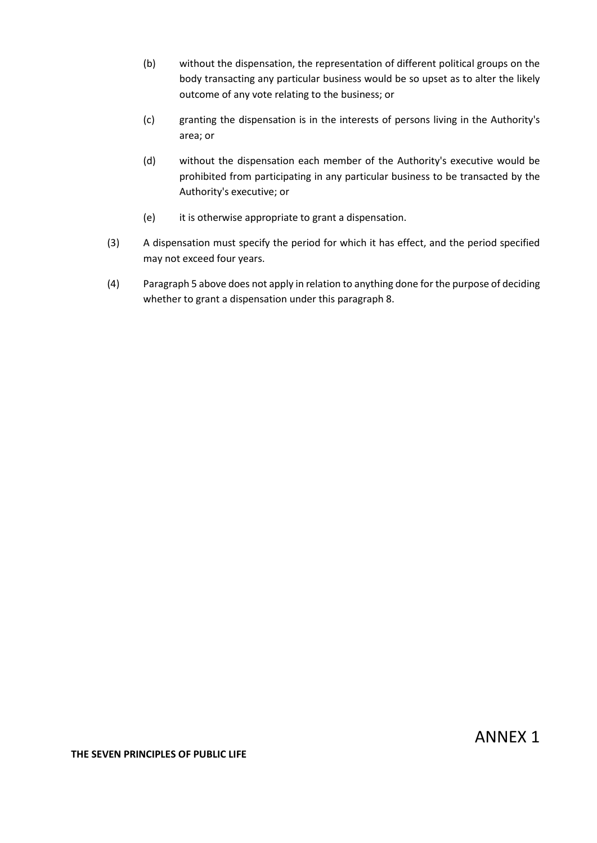- (b) without the dispensation, the representation of different political groups on the body transacting any particular business would be so upset as to alter the likely outcome of any vote relating to the business; or
- (c) granting the dispensation is in the interests of persons living in the Authority's area; or
- (d) without the dispensation each member of the Authority's executive would be prohibited from participating in any particular business to be transacted by the Authority's executive; or
- (e) it is otherwise appropriate to grant a dispensation.
- (3) A dispensation must specify the period for which it has effect, and the period specified may not exceed four years.
- (4) Paragraph 5 above does not apply in relation to anything done for the purpose of deciding whether to grant a dispensation under this paragraph 8.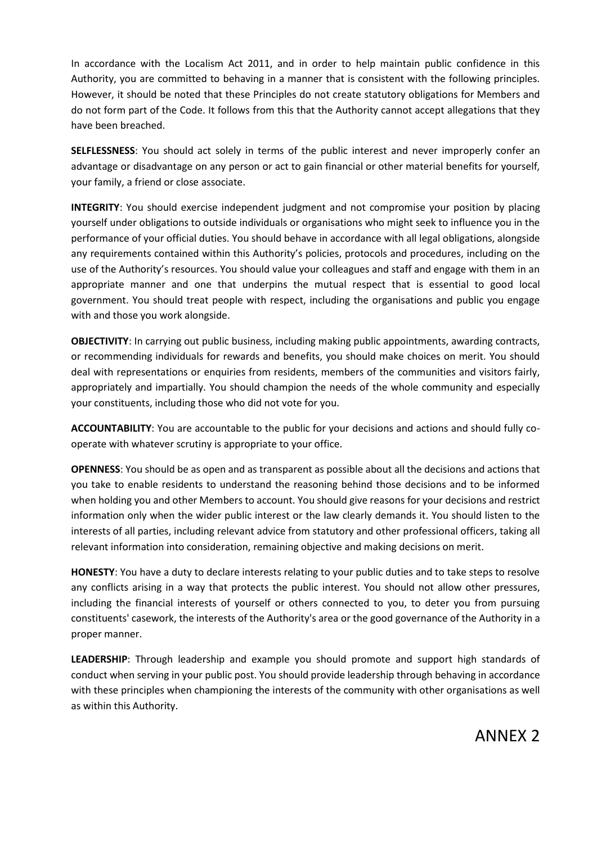In accordance with the Localism Act 2011, and in order to help maintain public confidence in this Authority, you are committed to behaving in a manner that is consistent with the following principles. However, it should be noted that these Principles do not create statutory obligations for Members and do not form part of the Code. It follows from this that the Authority cannot accept allegations that they have been breached.

**SELFLESSNESS**: You should act solely in terms of the public interest and never improperly confer an advantage or disadvantage on any person or act to gain financial or other material benefits for yourself, your family, a friend or close associate.

**INTEGRITY:** You should exercise independent judgment and not compromise your position by placing yourself under obligations to outside individuals or organisations who might seek to influence you in the performance of your official duties. You should behave in accordance with all legal obligations, alongside any requirements contained within this Authority's policies, protocols and procedures, including on the use of the Authority's resources. You should value your colleagues and staff and engage with them in an appropriate manner and one that underpins the mutual respect that is essential to good local government. You should treat people with respect, including the organisations and public you engage with and those you work alongside.

**OBJECTIVITY**: In carrying out public business, including making public appointments, awarding contracts, or recommending individuals for rewards and benefits, you should make choices on merit. You should deal with representations or enquiries from residents, members of the communities and visitors fairly, appropriately and impartially. You should champion the needs of the whole community and especially your constituents, including those who did not vote for you.

**ACCOUNTABILITY**: You are accountable to the public for your decisions and actions and should fully cooperate with whatever scrutiny is appropriate to your office.

**OPENNESS**: You should be as open and as transparent as possible about all the decisions and actions that you take to enable residents to understand the reasoning behind those decisions and to be informed when holding you and other Members to account. You should give reasons for your decisions and restrict information only when the wider public interest or the law clearly demands it. You should listen to the interests of all parties, including relevant advice from statutory and other professional officers, taking all relevant information into consideration, remaining objective and making decisions on merit.

**HONESTY**: You have a duty to declare interests relating to your public duties and to take steps to resolve any conflicts arising in a way that protects the public interest. You should not allow other pressures, including the financial interests of yourself or others connected to you, to deter you from pursuing constituents' casework, the interests of the Authority's area or the good governance of the Authority in a proper manner.

**LEADERSHIP**: Through leadership and example you should promote and support high standards of conduct when serving in your public post. You should provide leadership through behaving in accordance with these principles when championing the interests of the community with other organisations as well as within this Authority.

ANNEX 2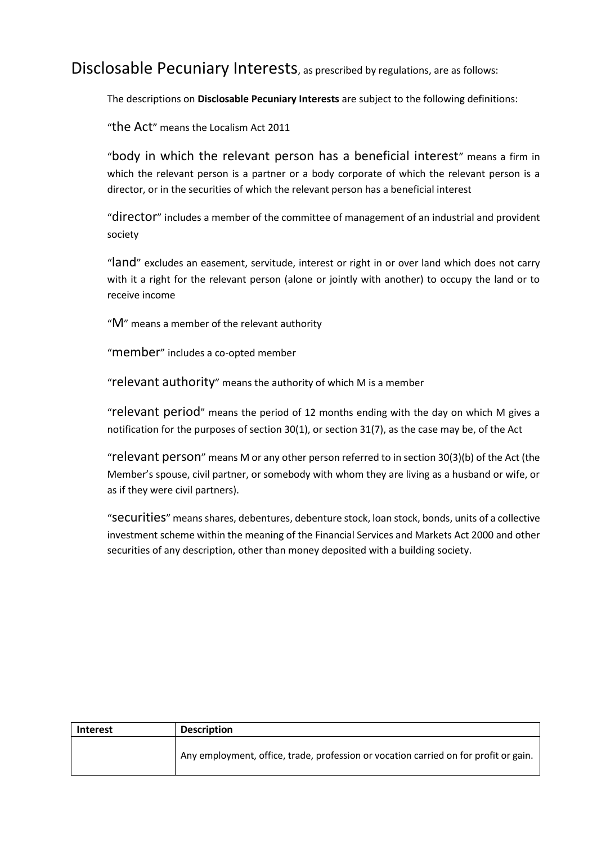Disclosable Pecuniary Interests, as prescribed by regulations, are as follows:

The descriptions on **Disclosable Pecuniary Interests** are subject to the following definitions:

"the Act" means the Localism Act 2011

"body in which the relevant person has a beneficial interest" means a firm in which the relevant person is a partner or a body corporate of which the relevant person is a director, or in the securities of which the relevant person has a beneficial interest

"director" includes a member of the committee of management of an industrial and provident society

"land" excludes an easement, servitude, interest or right in or over land which does not carry with it a right for the relevant person (alone or jointly with another) to occupy the land or to receive income

"M" means a member of the relevant authority

"member" includes a co-opted member

"relevant authority" means the authority of which M is a member

"relevant period" means the period of 12 months ending with the day on which M gives a notification for the purposes of section 30(1), or section 31(7), as the case may be, of the Act

"relevant person" means M or any other person referred to in section 30(3)(b) of the Act (the Member's spouse, civil partner, or somebody with whom they are living as a husband or wife, or as if they were civil partners).

"securities" means shares, debentures, debenture stock, loan stock, bonds, units of a collective investment scheme within the meaning of the Financial Services and Markets Act 2000 and other securities of any description, other than money deposited with a building society.

| <b>Interest</b> | <b>Description</b>                                                                   |
|-----------------|--------------------------------------------------------------------------------------|
|                 | Any employment, office, trade, profession or vocation carried on for profit or gain. |